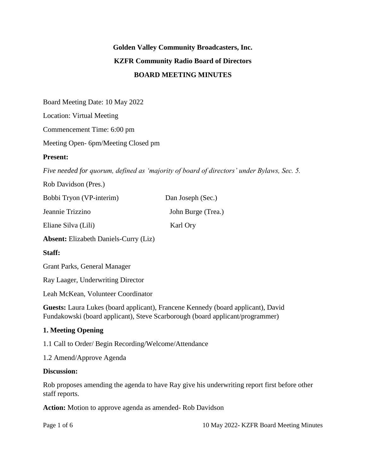# **Golden Valley Community Broadcasters, Inc. KZFR Community Radio Board of Directors BOARD MEETING MINUTES**

Board Meeting Date: 10 May 2022

Location: Virtual Meeting

Commencement Time: 6:00 pm

Meeting Open- 6pm/Meeting Closed pm

#### **Present:**

*Five needed for quorum, defined as 'majority of board of directors' under Bylaws, Sec. 5.*

| Rob Davidson (Pres.)                      |                    |
|-------------------------------------------|--------------------|
| Bobbi Tryon (VP-interim)                  | Dan Joseph (Sec.)  |
| Jeannie Trizzino                          | John Burge (Trea.) |
| Eliane Silva (Lili)                       | Karl Ory           |
| $\sim$ $\sim$ $\sim$ $\sim$ $\sim$ $\sim$ |                    |

**Absent:** Elizabeth Daniels-Curry (Liz)

#### **Staff:**

Grant Parks, General Manager

Ray Laager, Underwriting Director

Leah McKean, Volunteer Coordinator

**Guests:** Laura Lukes (board applicant), Francene Kennedy (board applicant), David Fundakowski (board applicant), Steve Scarborough (board applicant/programmer)

#### **1. Meeting Opening**

1.1 Call to Order/ Begin Recording/Welcome/Attendance

1.2 Amend/Approve Agenda

#### **Discussion:**

Rob proposes amending the agenda to have Ray give his underwriting report first before other staff reports.

**Action:** Motion to approve agenda as amended- Rob Davidson

Page 1 of 6 10 May 2022- KZFR Board Meeting Minutes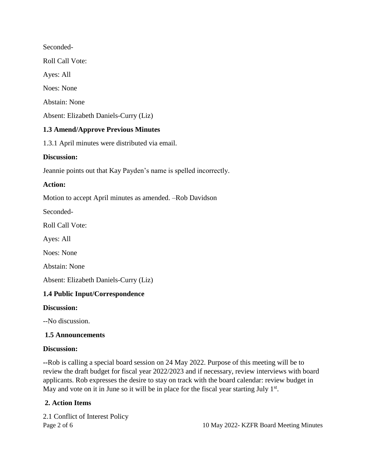Seconded-Roll Call Vote: Ayes: All Noes: None Abstain: None Absent: Elizabeth Daniels-Curry (Liz)

## **1.3 Amend/Approve Previous Minutes**

1.3.1 April minutes were distributed via email.

#### **Discussion:**

Jeannie points out that Kay Payden's name is spelled incorrectly.

#### **Action:**

Motion to accept April minutes as amended. –Rob Davidson

Seconded-

Roll Call Vote:

Ayes: All

Noes: None

Abstain: None

Absent: Elizabeth Daniels-Curry (Liz)

#### **1.4 Public Input/Correspondence**

#### **Discussion:**

--No discussion.

#### **1.5 Announcements**

#### **Discussion:**

**--**Rob is calling a special board session on 24 May 2022. Purpose of this meeting will be to review the draft budget for fiscal year 2022/2023 and if necessary, review interviews with board applicants. Rob expresses the desire to stay on track with the board calendar: review budget in May and vote on it in June so it will be in place for the fiscal year starting July  $1<sup>st</sup>$ .

#### **2. Action Items**

2.1 Conflict of Interest Policy

Page 2 of 6 10 May 2022- KZFR Board Meeting Minutes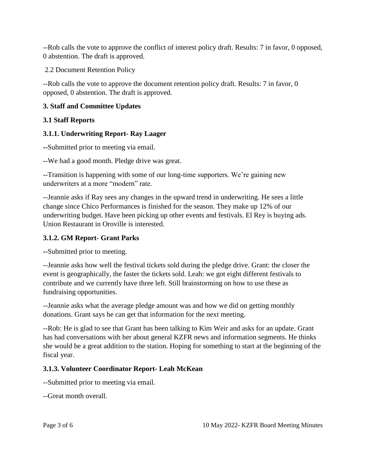--Rob calls the vote to approve the conflict of interest policy draft. Results: 7 in favor, 0 opposed, 0 abstention. The draft is approved.

2.2 Document Retention Policy

--Rob calls the vote to approve the document retention policy draft. Results: 7 in favor, 0 opposed, 0 abstention. The draft is approved.

#### **3. Staff and Committee Updates**

## **3.1 Staff Reports**

## **3.1.1. Underwriting Report- Ray Laager**

**--**Submitted prior to meeting via email.

--We had a good month. Pledge drive was great.

--Transition is happening with some of our long-time supporters. We're gaining new underwriters at a more "modern" rate.

--Jeannie asks if Ray sees any changes in the upward trend in underwriting. He sees a little change since Chico Performances is finished for the season. They make up 12% of our underwriting budget. Have been picking up other events and festivals. El Rey is buying ads. Union Restaurant in Oroville is interested.

#### **3.1.2. GM Report- Grant Parks**

**--**Submitted prior to meeting.

--Jeannie asks how well the festival tickets sold during the pledge drive. Grant: the closer the event is geographically, the faster the tickets sold. Leah: we got eight different festivals to contribute and we currently have three left. Still brainstorming on how to use these as fundraising opportunities.

--Jeannie asks what the average pledge amount was and how we did on getting monthly donations. Grant says he can get that information for the next meeting.

--Rob: He is glad to see that Grant has been talking to Kim Weir and asks for an update. Grant has had conversations with her about general KZFR news and information segments. He thinks she would be a great addition to the station. Hoping for something to start at the beginning of the fiscal year.

## **3.1.3. Volunteer Coordinator Report- Leah McKean**

--Submitted prior to meeting via email.

--Great month overall.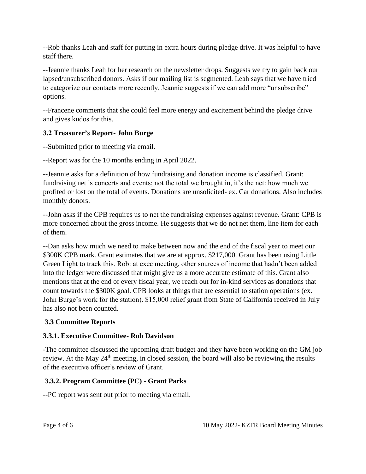--Rob thanks Leah and staff for putting in extra hours during pledge drive. It was helpful to have staff there.

--Jeannie thanks Leah for her research on the newsletter drops. Suggests we try to gain back our lapsed/unsubscribed donors. Asks if our mailing list is segmented. Leah says that we have tried to categorize our contacts more recently. Jeannie suggests if we can add more "unsubscribe" options.

--Francene comments that she could feel more energy and excitement behind the pledge drive and gives kudos for this.

## **3.2 Treasurer's Report- John Burge**

--Submitted prior to meeting via email.

--Report was for the 10 months ending in April 2022.

--Jeannie asks for a definition of how fundraising and donation income is classified. Grant: fundraising net is concerts and events; not the total we brought in, it's the net: how much we profited or lost on the total of events. Donations are unsolicited- ex. Car donations. Also includes monthly donors.

--John asks if the CPB requires us to net the fundraising expenses against revenue. Grant: CPB is more concerned about the gross income. He suggests that we do not net them, line item for each of them.

--Dan asks how much we need to make between now and the end of the fiscal year to meet our \$300K CPB mark. Grant estimates that we are at approx. \$217,000. Grant has been using Little Green Light to track this. Rob: at exec meeting, other sources of income that hadn't been added into the ledger were discussed that might give us a more accurate estimate of this. Grant also mentions that at the end of every fiscal year, we reach out for in-kind services as donations that count towards the \$300K goal. CPB looks at things that are essential to station operations (ex. John Burge's work for the station). \$15,000 relief grant from State of California received in July has also not been counted.

## **3.3 Committee Reports**

## **3.3.1. Executive Committee- Rob Davidson**

-The committee discussed the upcoming draft budget and they have been working on the GM job review. At the May  $24<sup>th</sup>$  meeting, in closed session, the board will also be reviewing the results of the executive officer's review of Grant.

## **3.3.2. Program Committee (PC) - Grant Parks**

--PC report was sent out prior to meeting via email.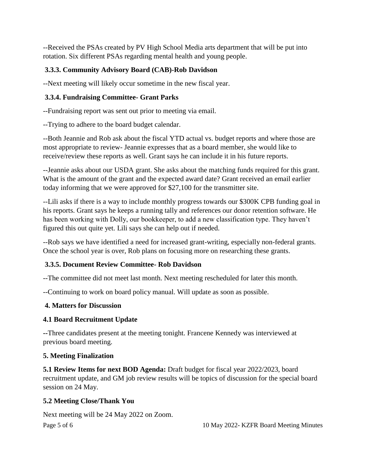--Received the PSAs created by PV High School Media arts department that will be put into rotation. Six different PSAs regarding mental health and young people.

## **3.3.3. Community Advisory Board (CAB)-Rob Davidson**

--Next meeting will likely occur sometime in the new fiscal year.

## **3.3.4. Fundraising Committee- Grant Parks**

--Fundraising report was sent out prior to meeting via email.

--Trying to adhere to the board budget calendar.

--Both Jeannie and Rob ask about the fiscal YTD actual vs. budget reports and where those are most appropriate to review- Jeannie expresses that as a board member, she would like to receive/review these reports as well. Grant says he can include it in his future reports.

--Jeannie asks about our USDA grant. She asks about the matching funds required for this grant. What is the amount of the grant and the expected award date? Grant received an email earlier today informing that we were approved for \$27,100 for the transmitter site.

--Lili asks if there is a way to include monthly progress towards our \$300K CPB funding goal in his reports. Grant says he keeps a running tally and references our donor retention software. He has been working with Dolly, our bookkeeper, to add a new classification type. They haven't figured this out quite yet. Lili says she can help out if needed.

--Rob says we have identified a need for increased grant-writing, especially non-federal grants. Once the school year is over, Rob plans on focusing more on researching these grants.

## **3.3.5. Document Review Committee- Rob Davidson**

--The committee did not meet last month. Next meeting rescheduled for later this month.

--Continuing to work on board policy manual. Will update as soon as possible.

## **4. Matters for Discussion**

## **4.1 Board Recruitment Update**

**--**Three candidates present at the meeting tonight. Francene Kennedy was interviewed at previous board meeting.

#### **5. Meeting Finalization**

**5.1 Review Items for next BOD Agenda:** Draft budget for fiscal year 2022/2023, board recruitment update, and GM job review results will be topics of discussion for the special board session on 24 May.

## **5.2 Meeting Close/Thank You**

Page 5 of 6 10 May 2022- KZFR Board Meeting Minutes Next meeting will be 24 May 2022 on Zoom.